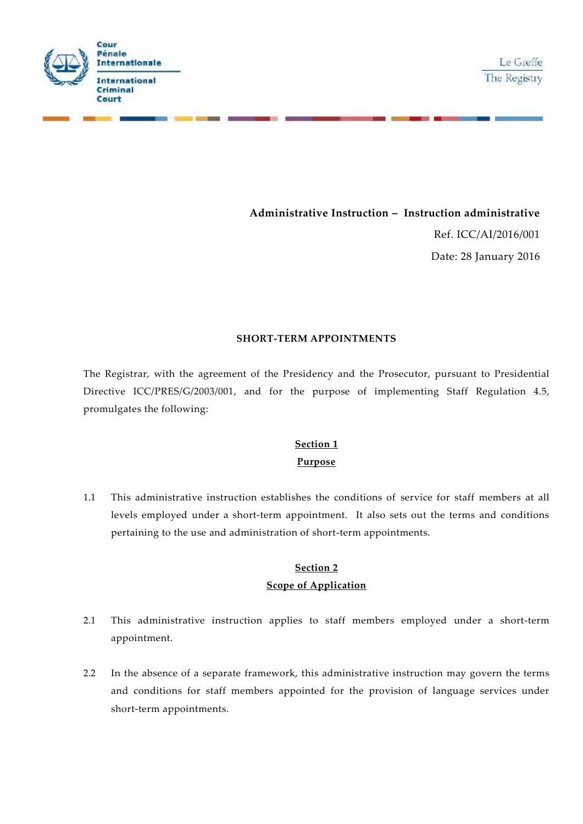

**Administrative Instruction – Instruction administrative**

Ref. ICC/AI/2016/001 Date: 28 January 2016

### **SHORT-TERM APPOINTMENTS**

The Registrar, with the agreement of the Presidency and the Prosecutor, pursuant to Presidential Directive ICC/PRES/G/2003/001, and for the purpose of implementing Staff Regulation 4.5, promulgates the following:

## **Section 1**

### **Purpose**

1.1 This administrative instruction establishes the conditions of service for staff members at all levels employed under a short-term appointment. It also sets out the terms and conditions pertaining to the use and administration of short-term appointments.

## **Section 2 Scope of Application**

- 2.1 This administrative instruction applies to staff members employed under a short-term appointment.
- 2.2 In the absence of a separate framework, this administrative instruction may govern the terms and conditions for staff members appointed for the provision of language services under short-term appointments.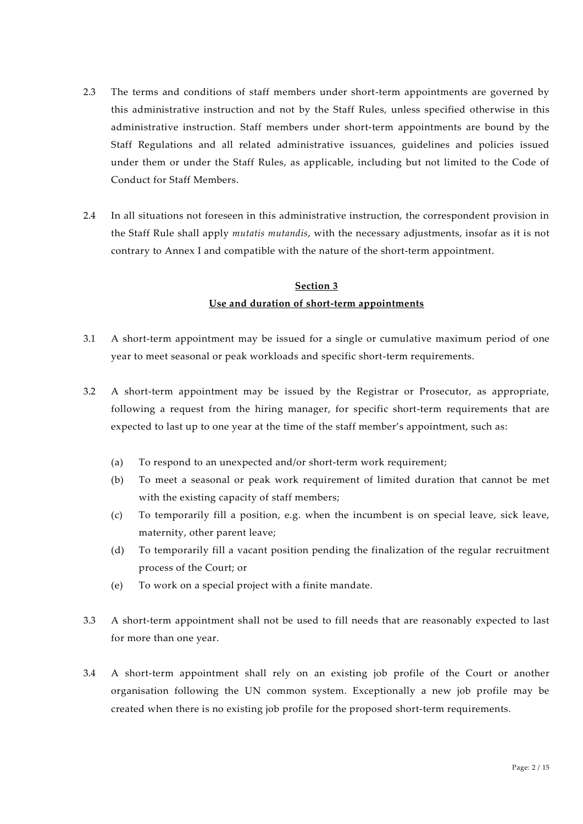- 2.3 The terms and conditions of staff members under short-term appointments are governed by this administrative instruction and not by the Staff Rules, unless specified otherwise in this administrative instruction. Staff members under short-term appointments are bound by the Staff Regulations and all related administrative issuances, guidelines and policies issued under them or under the Staff Rules, as applicable, including but not limited to the Code of Conduct for Staff Members.
- 2.4 In all situations not foreseen in this administrative instruction, the correspondent provision in the Staff Rule shall apply *mutatis mutandis*, with the necessary adjustments, insofar as it is not contrary to Annex I and compatible with the nature of the short-term appointment.

#### **Section 3**

### **Use and duration of short-term appointments**

- 3.1 A short-term appointment may be issued for a single or cumulative maximum period of one year to meet seasonal or peak workloads and specific short-term requirements.
- 3.2 A short-term appointment may be issued by the Registrar or Prosecutor, as appropriate, following a request from the hiring manager, for specific short-term requirements that are expected to last up to one year at the time of the staff member's appointment, such as:
	- (a) To respond to an unexpected and/or short-term work requirement;
	- (b) To meet a seasonal or peak work requirement of limited duration that cannot be met with the existing capacity of staff members;
	- (c) To temporarily fill a position, e.g. when the incumbent is on special leave, sick leave, maternity, other parent leave;
	- (d) To temporarily fill a vacant position pending the finalization of the regular recruitment process of the Court; or
	- (e) To work on a special project with a finite mandate.
- 3.3 A short-term appointment shall not be used to fill needs that are reasonably expected to last for more than one year.
- 3.4 A short-term appointment shall rely on an existing job profile of the Court or another organisation following the UN common system. Exceptionally a new job profile may be created when there is no existing job profile for the proposed short-term requirements.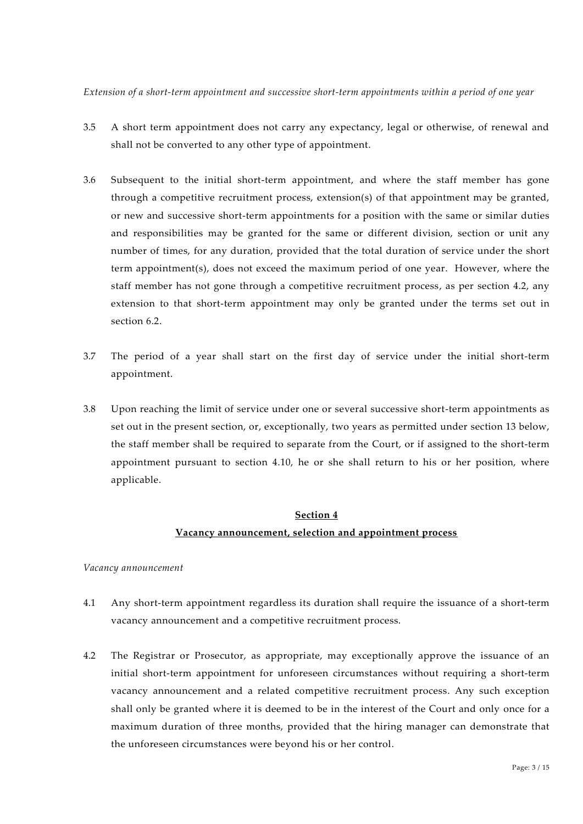*Extension of a short-term appointment and successive short-term appointments within a period of one year*

- 3.5 A short term appointment does not carry any expectancy, legal or otherwise, of renewal and shall not be converted to any other type of appointment.
- 3.6 Subsequent to the initial short-term appointment, and where the staff member has gone through a competitive recruitment process, extension(s) of that appointment may be granted, or new and successive short-term appointments for a position with the same or similar duties and responsibilities may be granted for the same or different division, section or unit any number of times, for any duration, provided that the total duration of service under the short term appointment(s), does not exceed the maximum period of one year. However, where the staff member has not gone through a competitive recruitment process, as per section 4.2, any extension to that short-term appointment may only be granted under the terms set out in section 6.2.
- 3.7 The period of a year shall start on the first day of service under the initial short-term appointment.
- 3.8 Upon reaching the limit of service under one or several successive short-term appointments as set out in the present section, or, exceptionally, two years as permitted under section 13 below, the staff member shall be required to separate from the Court, or if assigned to the short-term appointment pursuant to section 4.10, he or she shall return to his or her position, where applicable.

### **Section 4 Vacancy announcement, selection and appointment process**

#### *Vacancy announcement*

- 4.1 Any short-term appointment regardless its duration shall require the issuance of a short-term vacancy announcement and a competitive recruitment process.
- 4.2 The Registrar or Prosecutor, as appropriate, may exceptionally approve the issuance of an initial short-term appointment for unforeseen circumstances without requiring a short-term vacancy announcement and a related competitive recruitment process. Any such exception shall only be granted where it is deemed to be in the interest of the Court and only once for a maximum duration of three months, provided that the hiring manager can demonstrate that the unforeseen circumstances were beyond his or her control.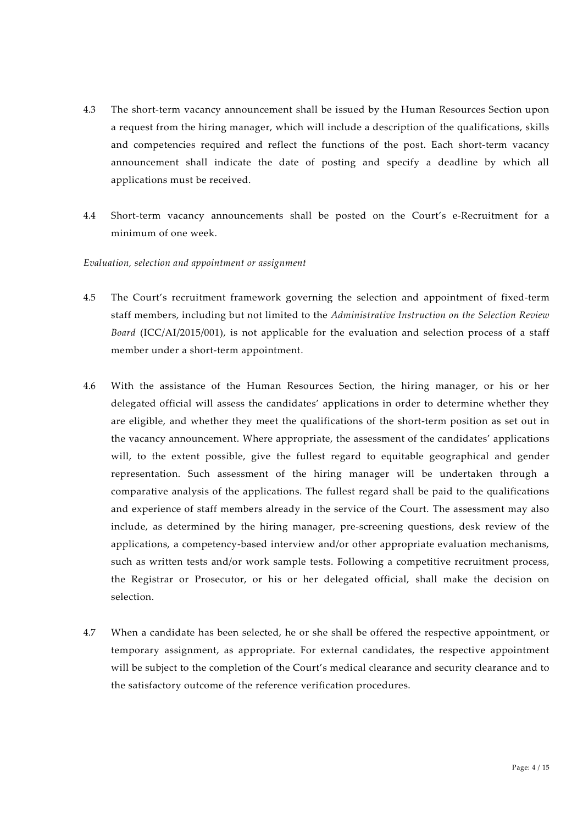- 4.3 The short-term vacancy announcement shall be issued by the Human Resources Section upon a request from the hiring manager, which will include a description of the qualifications, skills and competencies required and reflect the functions of the post. Each short-term vacancy announcement shall indicate the date of posting and specify a deadline by which all applications must be received.
- 4.4 Short-term vacancy announcements shall be posted on the Court's e-Recruitment for a minimum of one week.

#### *Evaluation, selection and appointment or assignment*

- 4.5 The Court's recruitment framework governing the selection and appointment of fixed-term staff members, including but not limited to the *Administrative Instruction on the Selection Review Board* (ICC/AI/2015/001), is not applicable for the evaluation and selection process of a staff member under a short-term appointment.
- 4.6 With the assistance of the Human Resources Section, the hiring manager, or his or her delegated official will assess the candidates' applications in order to determine whether they are eligible, and whether they meet the qualifications of the short-term position as set out in the vacancy announcement. Where appropriate, the assessment of the candidates' applications will, to the extent possible, give the fullest regard to equitable geographical and gender representation. Such assessment of the hiring manager will be undertaken through a comparative analysis of the applications. The fullest regard shall be paid to the qualifications and experience of staff members already in the service of the Court. The assessment may also include, as determined by the hiring manager, pre-screening questions, desk review of the applications, a competency-based interview and/or other appropriate evaluation mechanisms, such as written tests and/or work sample tests. Following a competitive recruitment process, the Registrar or Prosecutor, or his or her delegated official, shall make the decision on selection.
- 4.7 When a candidate has been selected, he or she shall be offered the respective appointment, or temporary assignment, as appropriate. For external candidates, the respective appointment will be subject to the completion of the Court's medical clearance and security clearance and to the satisfactory outcome of the reference verification procedures.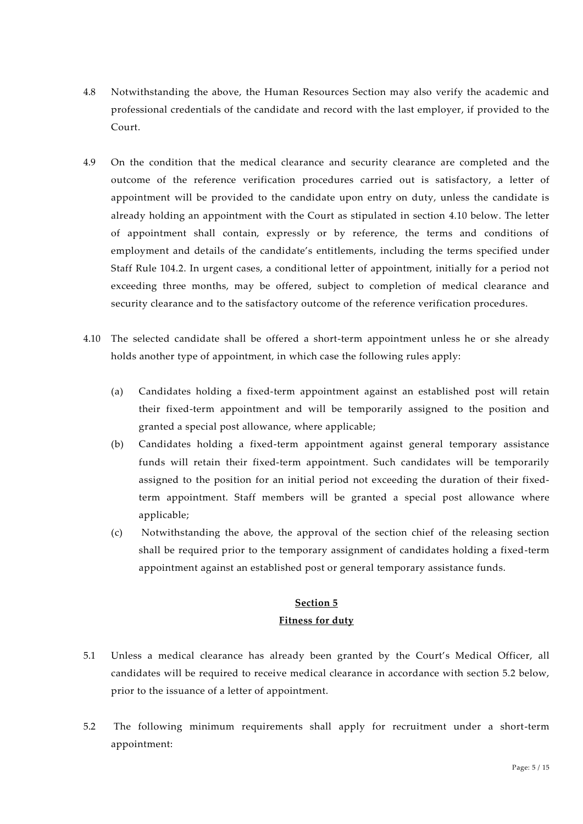- 4.8 Notwithstanding the above, the Human Resources Section may also verify the academic and professional credentials of the candidate and record with the last employer, if provided to the Court.
- 4.9 On the condition that the medical clearance and security clearance are completed and the outcome of the reference verification procedures carried out is satisfactory, a letter of appointment will be provided to the candidate upon entry on duty, unless the candidate is already holding an appointment with the Court as stipulated in section 4.10 below. The letter of appointment shall contain, expressly or by reference, the terms and conditions of employment and details of the candidate's entitlements, including the terms specified under Staff Rule 104.2. In urgent cases, a conditional letter of appointment, initially for a period not exceeding three months, may be offered, subject to completion of medical clearance and security clearance and to the satisfactory outcome of the reference verification procedures.
- 4.10 The selected candidate shall be offered a short-term appointment unless he or she already holds another type of appointment, in which case the following rules apply:
	- (a) Candidates holding a fixed-term appointment against an established post will retain their fixed-term appointment and will be temporarily assigned to the position and granted a special post allowance, where applicable;
	- (b) Candidates holding a fixed-term appointment against general temporary assistance funds will retain their fixed-term appointment. Such candidates will be temporarily assigned to the position for an initial period not exceeding the duration of their fixedterm appointment. Staff members will be granted a special post allowance where applicable;
	- (c) Notwithstanding the above, the approval of the section chief of the releasing section shall be required prior to the temporary assignment of candidates holding a fixed-term appointment against an established post or general temporary assistance funds.

# **Section 5 Fitness for duty**

- 5.1 Unless a medical clearance has already been granted by the Court's Medical Officer, all candidates will be required to receive medical clearance in accordance with section 5.2 below, prior to the issuance of a letter of appointment.
- 5.2 The following minimum requirements shall apply for recruitment under a short-term appointment: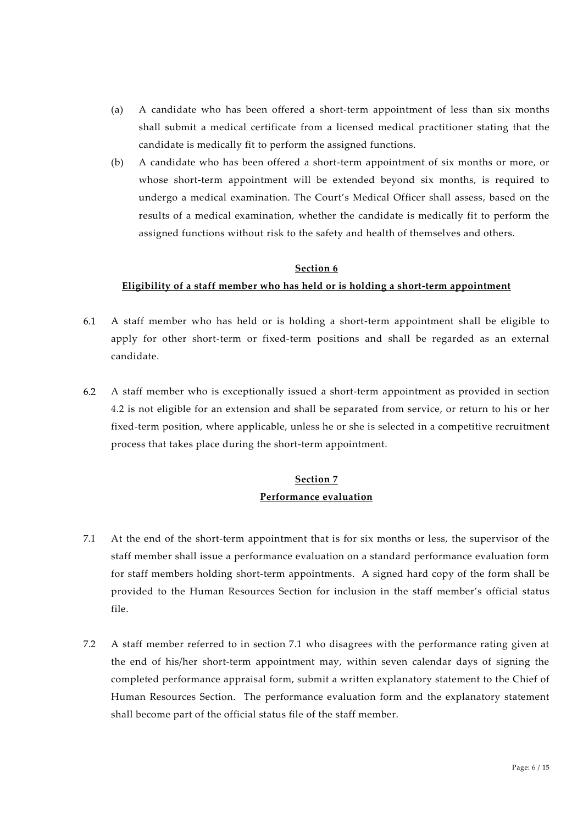- (a) A candidate who has been offered a short-term appointment of less than six months shall submit a medical certificate from a licensed medical practitioner stating that the candidate is medically fit to perform the assigned functions.
- (b) A candidate who has been offered a short-term appointment of six months or more, or whose short-term appointment will be extended beyond six months, is required to undergo a medical examination. The Court's Medical Officer shall assess, based on the results of a medical examination, whether the candidate is medically fit to perform the assigned functions without risk to the safety and health of themselves and others.

#### **Section 6**

### **Eligibility of a staff member who has held or is holding a short-term appointment**

- 6.1 A staff member who has held or is holding a short-term appointment shall be eligible to apply for other short-term or fixed-term positions and shall be regarded as an external candidate.
- $6.2$ A staff member who is exceptionally issued a short-term appointment as provided in section 4.2 is not eligible for an extension and shall be separated from service, or return to his or her fixed-term position, where applicable, unless he or she is selected in a competitive recruitment process that takes place during the short-term appointment.

### **Section 7 Performance evaluation**

- 7.1 At the end of the short-term appointment that is for six months or less, the supervisor of the staff member shall issue a performance evaluation on a standard performance evaluation form for staff members holding short-term appointments. A signed hard copy of the form shall be provided to the Human Resources Section for inclusion in the staff member's official status file.
- 7.2 A staff member referred to in section 7.1 who disagrees with the performance rating given at the end of his/her short-term appointment may, within seven calendar days of signing the completed performance appraisal form, submit a written explanatory statement to the Chief of Human Resources Section. The performance evaluation form and the explanatory statement shall become part of the official status file of the staff member.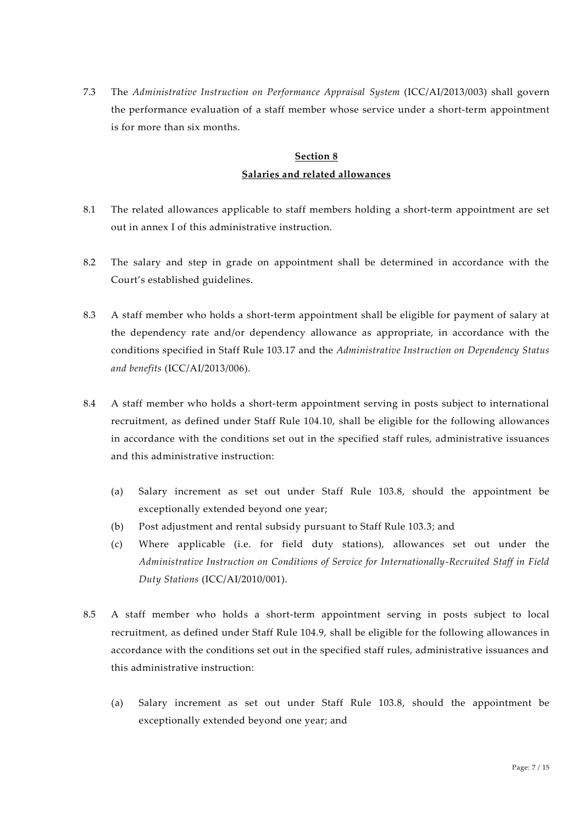7.3 The *Administrative Instruction on Performance Appraisal System* (ICC/AI/2013/003) shall govern the performance evaluation of a staff member whose service under a short-term appointment is for more than six months.

# **Section 8 Salaries and related allowances**

- 8.1 The related allowances applicable to staff members holding a short-term appointment are set out in annex I of this administrative instruction.
- 8.2 The salary and step in grade on appointment shall be determined in accordance with the Court's established guidelines.
- 8.3 A staff member who holds a short-term appointment shall be eligible for payment of salary at the dependency rate and/or dependency allowance as appropriate, in accordance with the conditions specified in Staff Rule 103.17 and the *Administrative Instruction on Dependency Status and benefits* (ICC/AI/2013/006).
- 8.4 A staff member who holds a short-term appointment serving in posts subject to international recruitment, as defined under Staff Rule 104.10, shall be eligible for the following allowances in accordance with the conditions set out in the specified staff rules, administrative issuances and this administrative instruction:
	- (a) Salary increment as set out under Staff Rule 103.8, should the appointment be exceptionally extended beyond one year;
	- (b) Post adjustment and rental subsidy pursuant to Staff Rule 103.3; and
	- (c) Where applicable (i.e. for field duty stations), allowances set out under the *Administrative Instruction on Conditions of Service for Internationally-Recruited Staff in Field Duty Stations* (ICC/AI/2010/001).
- 8.5 A staff member who holds a short-term appointment serving in posts subject to local recruitment, as defined under Staff Rule 104.9, shall be eligible for the following allowances in accordance with the conditions set out in the specified staff rules, administrative issuances and this administrative instruction:
	- (a) Salary increment as set out under Staff Rule 103.8, should the appointment be exceptionally extended beyond one year; and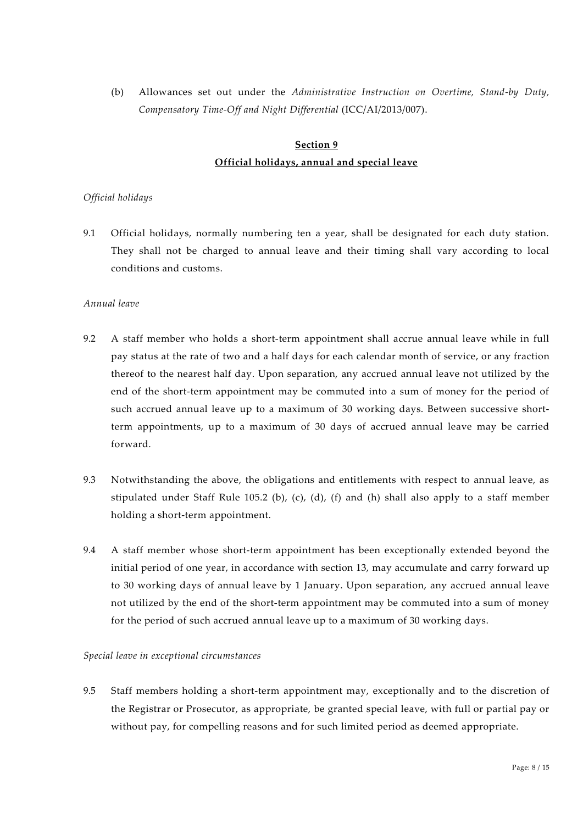(b) Allowances set out under the *Administrative Instruction on Overtime, Stand-by Duty, Compensatory Time-Off and Night Differential* (ICC/AI/2013/007).

# **Section 9 Official holidays, annual and special leave**

### *Official holidays*

9.1 Official holidays, normally numbering ten a year, shall be designated for each duty station. They shall not be charged to annual leave and their timing shall vary according to local conditions and customs.

#### *Annual leave*

- 9.2 A staff member who holds a short-term appointment shall accrue annual leave while in full pay status at the rate of two and a half days for each calendar month of service, or any fraction thereof to the nearest half day. Upon separation, any accrued annual leave not utilized by the end of the short-term appointment may be commuted into a sum of money for the period of such accrued annual leave up to a maximum of 30 working days. Between successive shortterm appointments, up to a maximum of 30 days of accrued annual leave may be carried forward.
- 9.3 Notwithstanding the above, the obligations and entitlements with respect to annual leave, as stipulated under Staff Rule 105.2 (b), (c), (d), (f) and (h) shall also apply to a staff member holding a short-term appointment.
- 9.4 A staff member whose short-term appointment has been exceptionally extended beyond the initial period of one year, in accordance with section 13, may accumulate and carry forward up to 30 working days of annual leave by 1 January. Upon separation, any accrued annual leave not utilized by the end of the short-term appointment may be commuted into a sum of money for the period of such accrued annual leave up to a maximum of 30 working days.

#### *Special leave in exceptional circumstances*

9.5 Staff members holding a short-term appointment may, exceptionally and to the discretion of the Registrar or Prosecutor, as appropriate, be granted special leave, with full or partial pay or without pay, for compelling reasons and for such limited period as deemed appropriate.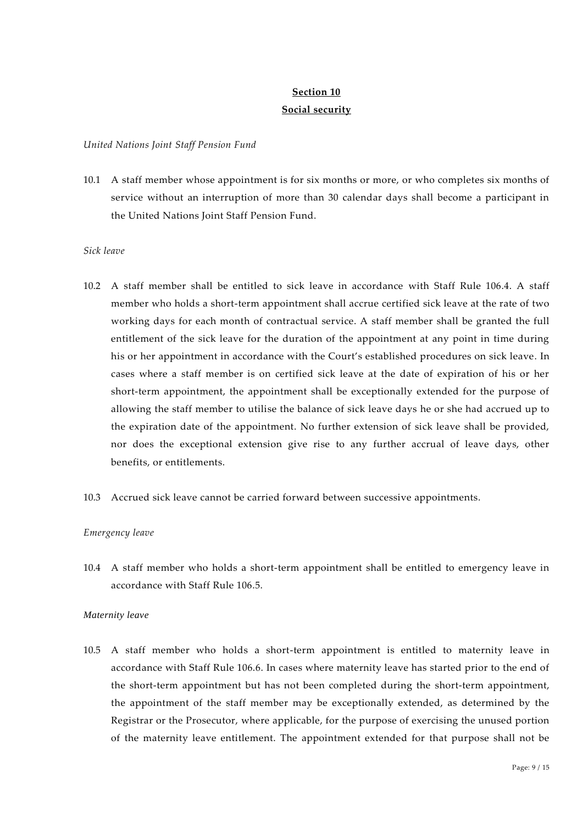### **Section 10 Social security**

#### *United Nations Joint Staff Pension Fund*

10.1 A staff member whose appointment is for six months or more, or who completes six months of service without an interruption of more than 30 calendar days shall become a participant in the United Nations Joint Staff Pension Fund.

#### *Sick leave*

- 10.2 A staff member shall be entitled to sick leave in accordance with Staff Rule 106.4. A staff member who holds a short-term appointment shall accrue certified sick leave at the rate of two working days for each month of contractual service. A staff member shall be granted the full entitlement of the sick leave for the duration of the appointment at any point in time during his or her appointment in accordance with the Court's established procedures on sick leave. In cases where a staff member is on certified sick leave at the date of expiration of his or her short-term appointment, the appointment shall be exceptionally extended for the purpose of allowing the staff member to utilise the balance of sick leave days he or she had accrued up to the expiration date of the appointment. No further extension of sick leave shall be provided, nor does the exceptional extension give rise to any further accrual of leave days, other benefits, or entitlements.
- 10.3 Accrued sick leave cannot be carried forward between successive appointments.

#### *Emergency leave*

10.4 A staff member who holds a short-term appointment shall be entitled to emergency leave in accordance with Staff Rule 106.5.

#### *Maternity leave*

10.5 A staff member who holds a short-term appointment is entitled to maternity leave in accordance with Staff Rule 106.6. In cases where maternity leave has started prior to the end of the short-term appointment but has not been completed during the short-term appointment, the appointment of the staff member may be exceptionally extended, as determined by the Registrar or the Prosecutor, where applicable, for the purpose of exercising the unused portion of the maternity leave entitlement. The appointment extended for that purpose shall not be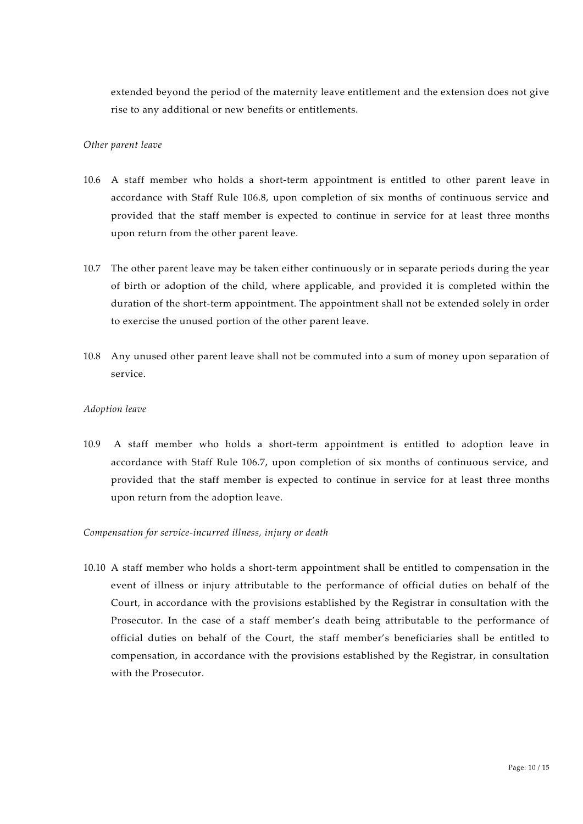extended beyond the period of the maternity leave entitlement and the extension does not give rise to any additional or new benefits or entitlements.

#### *Other parent leave*

- 10.6 A staff member who holds a short-term appointment is entitled to other parent leave in accordance with Staff Rule 106.8, upon completion of six months of continuous service and provided that the staff member is expected to continue in service for at least three months upon return from the other parent leave.
- 10.7 The other parent leave may be taken either continuously or in separate periods during the year of birth or adoption of the child, where applicable, and provided it is completed within the duration of the short-term appointment. The appointment shall not be extended solely in order to exercise the unused portion of the other parent leave.
- 10.8 Any unused other parent leave shall not be commuted into a sum of money upon separation of service.

#### *Adoption leave*

10.9 A staff member who holds a short-term appointment is entitled to adoption leave in accordance with Staff Rule 106.7, upon completion of six months of continuous service, and provided that the staff member is expected to continue in service for at least three months upon return from the adoption leave.

#### *Compensation for service-incurred illness, injury or death*

10.10 A staff member who holds a short-term appointment shall be entitled to compensation in the event of illness or injury attributable to the performance of official duties on behalf of the Court, in accordance with the provisions established by the Registrar in consultation with the Prosecutor. In the case of a staff member's death being attributable to the performance of official duties on behalf of the Court, the staff member's beneficiaries shall be entitled to compensation, in accordance with the provisions established by the Registrar, in consultation with the Prosecutor.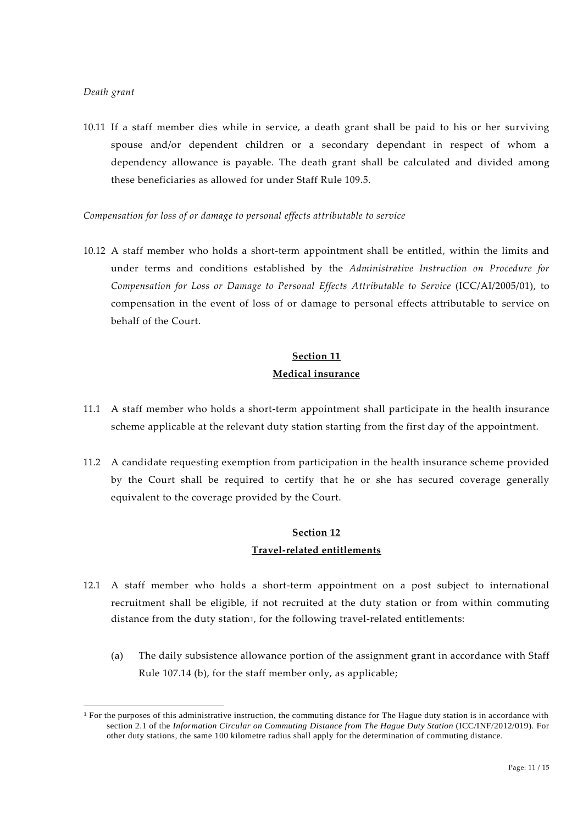10.11 If a staff member dies while in service, a death grant shall be paid to his or her surviving spouse and/or dependent children or a secondary dependant in respect of whom a dependency allowance is payable. The death grant shall be calculated and divided among these beneficiaries as allowed for under Staff Rule 109.5.

*Compensation for loss of or damage to personal effects attributable to service*

10.12 A staff member who holds a short-term appointment shall be entitled, within the limits and under terms and conditions established by the *Administrative Instruction on Procedure for Compensation for Loss or Damage to Personal Effects Attributable to Service* (ICC/AI/2005/01), to compensation in the event of loss of or damage to personal effects attributable to service on behalf of the Court.

# **Section 11 Medical insurance**

- 11.1 A staff member who holds a short-term appointment shall participate in the health insurance scheme applicable at the relevant duty station starting from the first day of the appointment.
- 11.2 A candidate requesting exemption from participation in the health insurance scheme provided by the Court shall be required to certify that he or she has secured coverage generally equivalent to the coverage provided by the Court.

# **Section 12 Travel-related entitlements**

- 12.1 A staff member who holds a short-term appointment on a post subject to international recruitment shall be eligible, if not recruited at the duty station or from within commuting distance from the duty station1, for the following travel-related entitlements:
	- (a) The daily subsistence allowance portion of the assignment grant in accordance with Staff Rule 107.14 (b), for the staff member only, as applicable;

<sup>&</sup>lt;sup>1</sup> For the purposes of this administrative instruction, the commuting distance for The Hague duty station is in accordance with section 2.1 of the *Information Circular on Commuting Distance from The Hague Duty Station* (ICC/INF/2012/019). For other duty stations, the same 100 kilometre radius shall apply for the determination of commuting distance.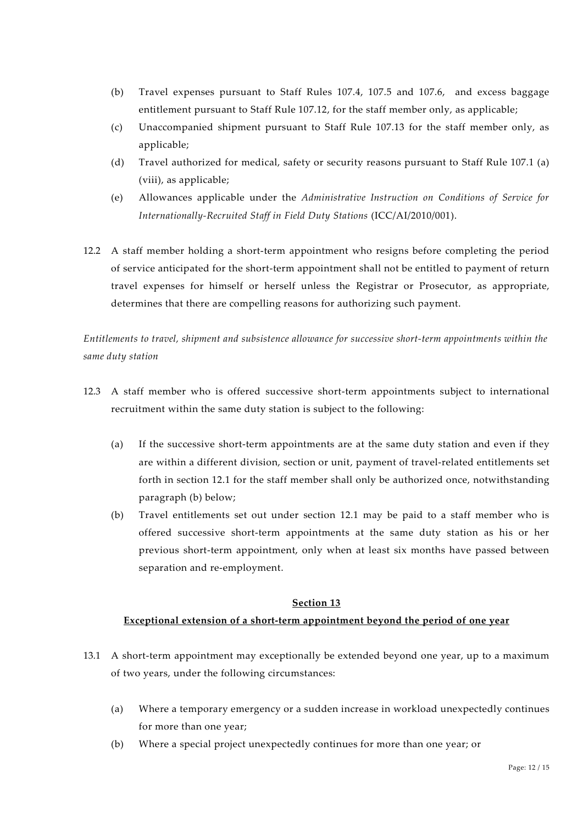- (b) Travel expenses pursuant to Staff Rules 107.4, 107.5 and 107.6, and excess baggage entitlement pursuant to Staff Rule 107.12, for the staff member only, as applicable;
- (c) Unaccompanied shipment pursuant to Staff Rule 107.13 for the staff member only, as applicable;
- (d) Travel authorized for medical, safety or security reasons pursuant to Staff Rule 107.1 (a) (viii), as applicable;
- (e) Allowances applicable under the *Administrative Instruction on Conditions of Service for Internationally-Recruited Staff in Field Duty Stations* (ICC/AI/2010/001).
- 12.2 A staff member holding a short-term appointment who resigns before completing the period of service anticipated for the short-term appointment shall not be entitled to payment of return travel expenses for himself or herself unless the Registrar or Prosecutor, as appropriate, determines that there are compelling reasons for authorizing such payment.

*Entitlements to travel, shipment and subsistence allowance for successive short-term appointments within the same duty station*

- 12.3 A staff member who is offered successive short-term appointments subject to international recruitment within the same duty station is subject to the following:
	- (a) If the successive short-term appointments are at the same duty station and even if they are within a different division, section or unit, payment of travel-related entitlements set forth in section 12.1 for the staff member shall only be authorized once, notwithstanding paragraph (b) below;
	- (b) Travel entitlements set out under section 12.1 may be paid to a staff member who is offered successive short-term appointments at the same duty station as his or her previous short-term appointment, only when at least six months have passed between separation and re-employment.

### **Section 13**

### **Exceptional extension of a short-term appointment beyond the period of one year**

- 13.1 A short-term appointment may exceptionally be extended beyond one year, up to a maximum of two years, under the following circumstances:
	- (a) Where a temporary emergency or a sudden increase in workload unexpectedly continues for more than one year;
	- (b) Where a special project unexpectedly continues for more than one year; or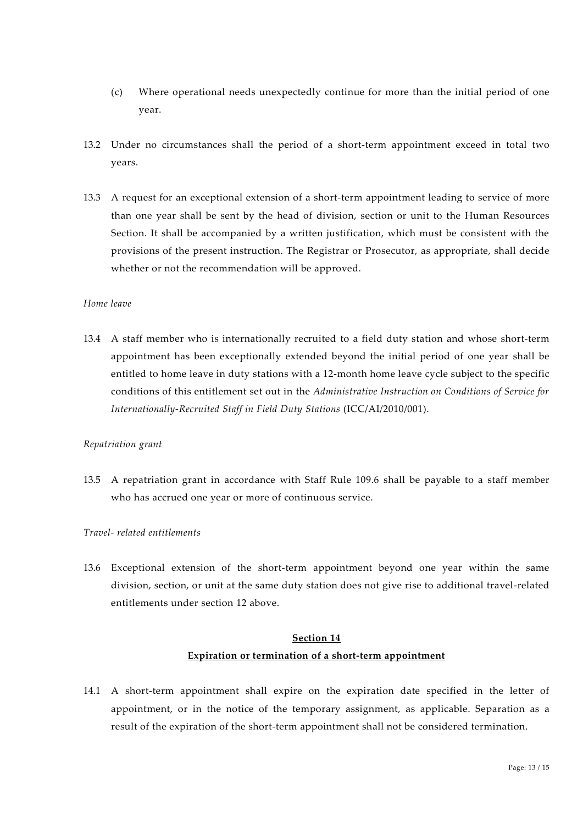- (c) Where operational needs unexpectedly continue for more than the initial period of one year.
- 13.2 Under no circumstances shall the period of a short-term appointment exceed in total two years.
- 13.3 A request for an exceptional extension of a short-term appointment leading to service of more than one year shall be sent by the head of division, section or unit to the Human Resources Section. It shall be accompanied by a written justification, which must be consistent with the provisions of the present instruction. The Registrar or Prosecutor, as appropriate, shall decide whether or not the recommendation will be approved.

### *Home leave*

13.4 A staff member who is internationally recruited to a field duty station and whose short-term appointment has been exceptionally extended beyond the initial period of one year shall be entitled to home leave in duty stations with a 12-month home leave cycle subject to the specific conditions of this entitlement set out in the *Administrative Instruction on Conditions of Service for Internationally-Recruited Staff in Field Duty Stations* (ICC/AI/2010/001).

#### *Repatriation grant*

13.5 A repatriation grant in accordance with Staff Rule 109.6 shall be payable to a staff member who has accrued one year or more of continuous service.

#### *Travel- related entitlements*

13.6 Exceptional extension of the short-term appointment beyond one year within the same division, section, or unit at the same duty station does not give rise to additional travel-related entitlements under section 12 above.

# **Section 14 Expiration or termination of a short-term appointment**

14.1 A short-term appointment shall expire on the expiration date specified in the letter of appointment, or in the notice of the temporary assignment, as applicable. Separation as a result of the expiration of the short-term appointment shall not be considered termination.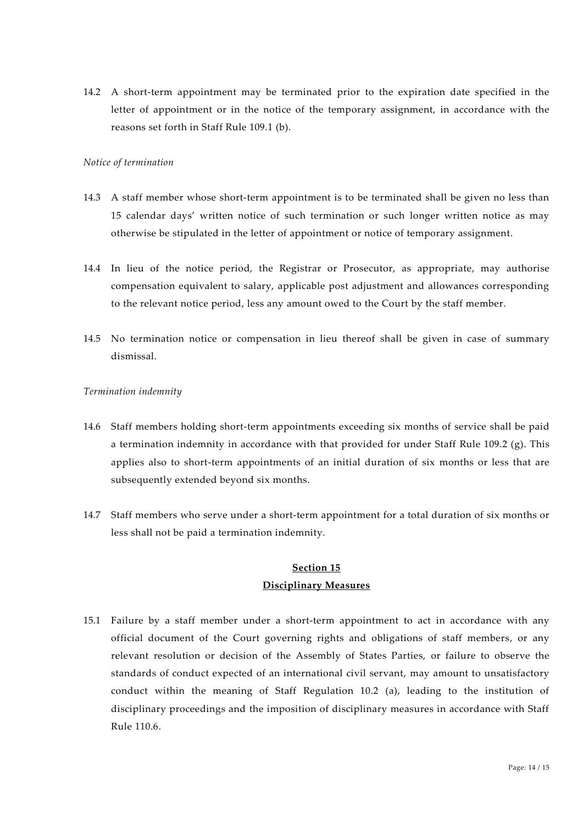14.2 A short-term appointment may be terminated prior to the expiration date specified in the letter of appointment or in the notice of the temporary assignment, in accordance with the reasons set forth in Staff Rule 109.1 (b).

#### *Notice of termination*

- 14.3 A staff member whose short-term appointment is to be terminated shall be given no less than 15 calendar days' written notice of such termination or such longer written notice as may otherwise be stipulated in the letter of appointment or notice of temporary assignment.
- 14.4 In lieu of the notice period, the Registrar or Prosecutor, as appropriate, may authorise compensation equivalent to salary, applicable post adjustment and allowances corresponding to the relevant notice period, less any amount owed to the Court by the staff member.
- 14.5 No termination notice or compensation in lieu thereof shall be given in case of summary dismissal.

### *Termination indemnity*

- 14.6 Staff members holding short-term appointments exceeding six months of service shall be paid a termination indemnity in accordance with that provided for under Staff Rule 109.2 (g). This applies also to short-term appointments of an initial duration of six months or less that are subsequently extended beyond six months.
- 14.7 Staff members who serve under a short-term appointment for a total duration of six months or less shall not be paid a termination indemnity.

## **Section 15 Disciplinary Measures**

15.1 Failure by a staff member under a short-term appointment to act in accordance with any official document of the Court governing rights and obligations of staff members, or any relevant resolution or decision of the Assembly of States Parties, or failure to observe the standards of conduct expected of an international civil servant, may amount to unsatisfactory conduct within the meaning of Staff Regulation 10.2 (a), leading to the institution of disciplinary proceedings and the imposition of disciplinary measures in accordance with Staff Rule 110.6.